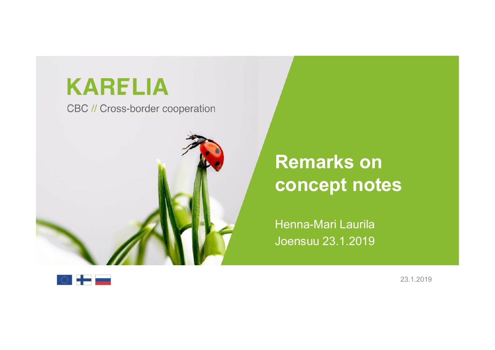### **KARELIA**

CBC // Cross-border cooperation



# **Samillan (1996)**<br>Remarks on<br>concept notes **Concept notes<br>Concept notes<br>Concept notes<br>Henna-Mari Laurila**

Henna-Mari Laurila Joensuu 23.1.2019

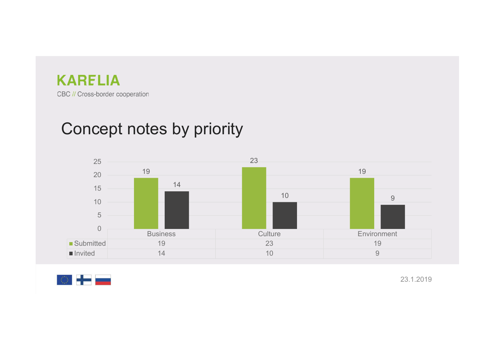



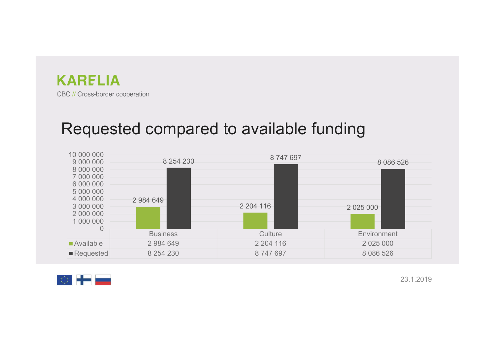



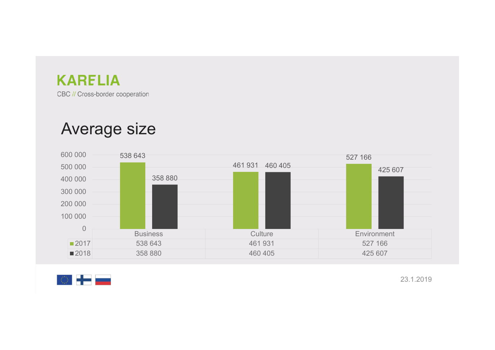

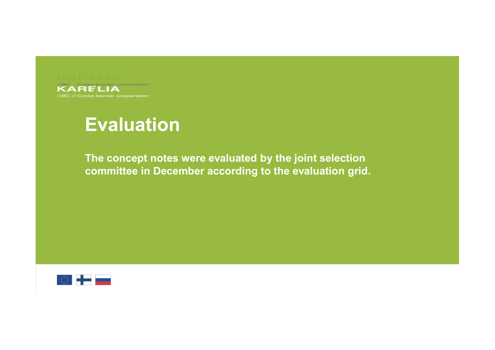

### Evaluation

TELIA<br>EValuation<br>The concept notes were evaluated by the joint selection<br>committee in December according to the evaluation grid. committee in According to the evaluation of the concept notes were evaluated by the joint selection committee in December according to the evaluation grid.

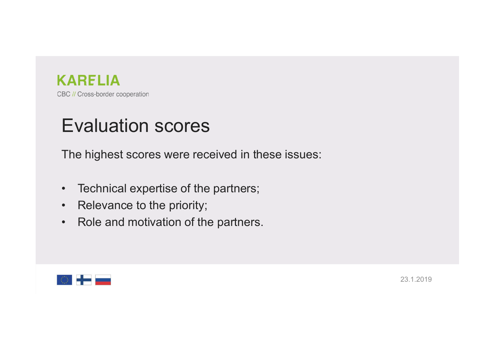

### Evaluation scores

EVAIUATE CONSECT COOPER CONSECT COOPER CONSECT COOPERATION<br>The highest scores were received in these issues:<br>The highest scores were received in these issues:<br>Technical expertise of the partners; EVAIUA<br>• EVAIUATION SCOTES<br>• The highest scores were received in these issues:<br>• Technical expertise of the partners;<br>• Relevance to the priority;<br>• Role and motivation of the partners. EVAIUATION<br>
FORE COOPER BOUCASS-border cooperation<br>
The highest scores were received in these issues:<br>
• Technical expertise of the partners;<br>
• Relevance to the priority;<br>
• Role and motivation of the partners. EVAIUA<br>
• BC// Cross-border cooperation<br>
• The highest scores were received in these issues:<br>
• Technical expertise of the partners;<br>
• Relevance to the priority;<br>
• Role and motivation of the partners.

- 
- 
- 

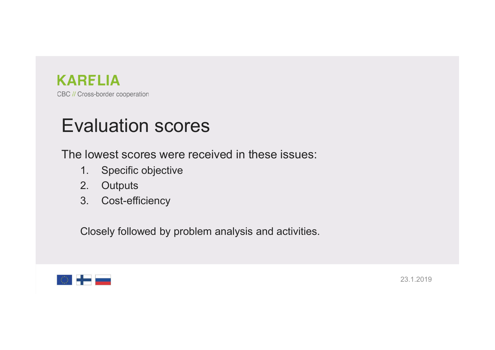

### Evaluation scores

EVAIUATION<br>The lowest scores were received in these issues:<br>The lowest scores were received in these issues:<br>1. Specific objective<br>2. Outputs **RELIA**<br>
Cross-border cooperation<br> **1. Specific objective**<br>
2. Outputs<br>
3. Cost-efficiency **RELIA**<br>
Cross-border cooperation<br> **2. Outputs**<br>
2. Outputs<br>
2. Outputs<br>
2. Cost-efficiency RELIA<br>
Xenss-border cooperation<br>
2. **Conception**<br>
3. Cost-efficiency<br>
2. Outputs<br>
3. Cost-efficiency<br>
Closely followed by problem analysis and activ TELIA<br>
Valuation SCOTES<br>
Ilowest scores were received in these issues:<br>
1. Specific objective<br>
2. Outputs<br>
3. Cost-efficiency<br>
Closely followed by problem analysis and activities.

- 
- 
- 

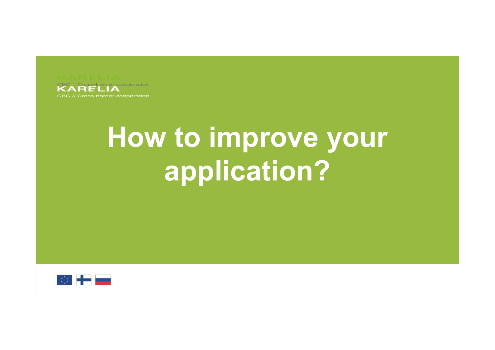

# How to improve your application?

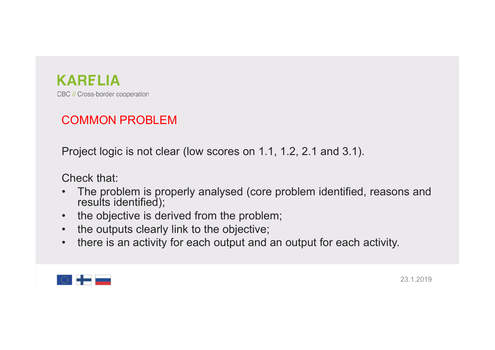

### COMMON PROBLEM

EC // Cross-border cooperation<br>
COMMON PROBLEM<br>
Project logic is not clear (low scores on 1.1, 1.2, 2.1 and 3.1).<br>
Check that:<br>
• The problem is proportly applyied (core problem identified, reasons and

- **EXAMPLIA**<br>
BC // Cross-border cooperation<br> **COMMON PROBLEM**<br>
Project logic is not clear (low scores on 1.1, 1.<br>
Check that:<br>
 The problem is properly analysed (core profiles);<br>
 the objective is derived from the problem **EXAMPLIA**<br> **COMMON PROBLEM**<br>
Project logic is not clear (low scores on 1.1, 1.2, 2.1 and 3.1).<br>
Check that:<br>
• The problem is properly analysed (core problem identified, reasons and<br>
• the objective is derived from the pr **RELIA**<br>
Cross-border cooperation<br>
DIMMON PROBLEM<br>
Diect logic is not clear (low scores on 1.1, 1.2, 2<br>
eck that:<br>
The problem is properly analysed (core proble<br>
results identified);<br>
the objective is derived from the prob **EXARELIA**<br>
• SC // Cross-border cooperation<br>
• Project logic is not clear (low scores on 1.1, 1.2, 2.1 and 3.1).<br>
• The problem is properly analysed (core problem identified, reasons<br>
• the objective is derived from the p **EXAMPLE COMMON PROBLEM**<br>
• BC // Cross-border cooperation<br>
• Project logic is not clear (low scores on 1.1, 1.2, 2.1 and 3.1).<br>
• Check that:<br>
• The problem is properly analysed (core problem identified, reaching results • SC *N* Cross-border cooperation<br>
• Project logic is not clear (low scores on 1.1, 1.2, 2.1 and 3.1).<br>
• The problem is properly analysed (core problem identified, reasons and<br>
• the objective is derived from the problem;
- 
- 
- 

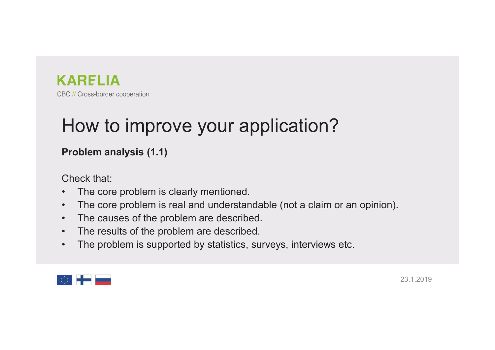

## **EXARELIA**<br>How to improve your application?<br>Problem analysis (1.1) EQ // Cross-border cooperation<br>Problem analysis (1.1)<br>Problem analysis (1.1)<br>Check that:<br>. The core problem is clearly mentioned EC // Cross-border cooperation<br>
HOW to improve your applic<br>
Problem analysis (1.1)<br>
Check that:<br>
• The core problem is clearly mentioned.<br>
• The causes of the problem are described. EC // Cross-border cooperation<br>
• BC // Cross-border cooperation<br>
• The core problem is clearly mentioned.<br>
• The core problem is real and understandable (not a claim or an opinion<br>
• The causes of the problem are describe **EDET A BC // Cross-border cooperation**<br> **HOW to improve your application?**<br> **Problem analysis (1.1)**<br>
Check that:<br>
• The core problem is real and understandable (not a claim or an opinion).<br>
• The causes of the problem ar **EXAMPLIA**<br>
• BC // Cross-border cooperation<br> **HOW to improve your application?**<br>
• **Problem analysis (1.1)**<br>
• The core problem is clearly mentioned.<br>
• The crosses of the problem are described.<br>
• The results of the prob **HOW to improve your application?**<br>
• BC//Cross-border cooperation<br> **Problem analysis (1.1)**<br>
Check that:<br>
• The core problem is clearly mentioned.<br>
• The causes of the problem are described.<br>
• The results of the problem • The problem analysis (1.1)<br>• The core problem is clearly mentioned.<br>• The core problem is clearly mentioned.<br>• The core problem is real and understandable (not a claim or an opinion).<br>• The causes of the problem are desc

- 
- 
- 
- 
- 

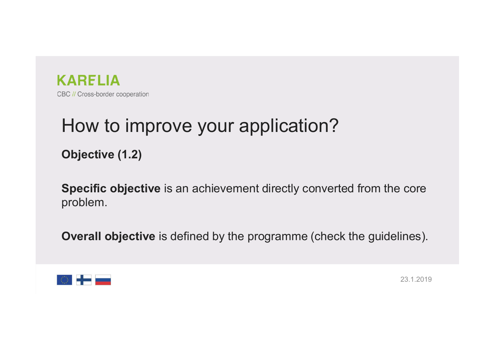

# **KARELIA**<br>Be // Cross-border cooperation<br>How to improve your application?<br>Objective (1.2) Objective (1.2)

SARELIA<br>Se // Cross-border cooperation<br>Objective (1.2)<br>Specific objective is an achievement directly converted from the core<br>problem. problem. **Overall objective is an achievement directly converted from the core problem.**<br> **Objective is an achievement directly converted from the core problem.**<br> **Overall objective** is defined by the programme (check the guideline

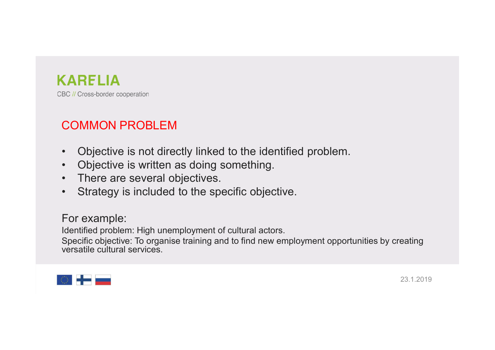

### COMMON PROBLEM

- EXARELIA<br>
FOR Cross-border cooperation<br>
 Objective is not directly linked to the identified problem.<br>
 Objective is written as doing something.<br>
 There are several objectives. **EXAMPLIA**<br>
FOR US CONSECUTE CONSECUTE OF CONSECUTE OF CONSECUTE OF CONSECUTE IS NOT CONSECUTE IS written as doing something.<br>
• Objective is written as doing something.<br>
• There are several objectives.<br>
• Strategy is incl ERTHA<br>
FRA BC // Cross-border cooperation<br>
• Objective is not directly linked to the identified problem.<br>
• Objective is written as doing something.<br>
• There are several objectives.<br>
• Strategy is included to the specific **EXARELIA**<br>• Strategy Consider cooperation<br>• Objective is not directly linked to the identified problem.<br>• Objective is written as doing something.<br>• There are several objectives.<br>• Strategy is included to the specific obj
- 
- 
- 

### For example:

KAHE LIA<br>
BC // Cross-border cooperation<br>
• Objective is not directly linked to the identified problem.<br>
• Objective is written as doing something.<br>
• There are several objectives.<br>
• Strategy is included to the specific BC // Cross-border cooperation<br>
• Objective is not directly linked to the identified problem.<br>
• Objective is written as doing something.<br>
• There are several objectives.<br>
• Strategy is included to the specific objective.<br> **COMMON PROBLEM**<br>
• Objective is not directly linked to the identified proverting.<br>
• Objective is written as doing something.<br>
• There are several objectives.<br>
• Strategy is included to the specific objective.<br>
For exampl

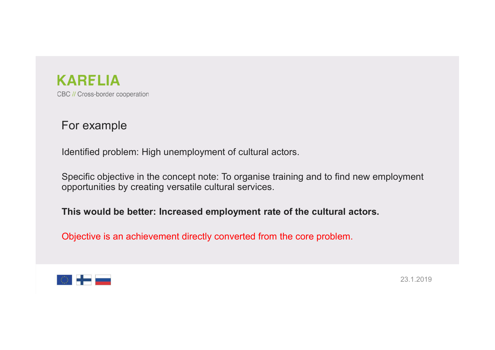

### For example

**Example SC ARELIA**<br>Interaction<br>Identified problem: High unemployment of cultural actors.<br>Specific objective in the concept note: To organise training and to find new employment<br>opportunities by creating versatile cultural Samilary Cross-border cooperation<br>Specific objective in the concept note: To organise training and to find new employment<br>Specific objective in the concept note: To organise training and to find new employment<br>Apportunitie **CARELIA**<br>For example<br>Identified problem: High unemployment of cultural actors.<br>Specific objective in the concept note: To organise training and to find new employment<br>opportunities by creating versatile cultural services. **KARELIA**<br>
BC // Cross-border cooperation<br>
Horn triangle<br>
Identified problem: High unemployment of cultural actors.<br>
Specific objective in the concept note: To organise training and to find new employment<br>
opportunities by **SECT COSES-border cooperation**<br>
SECT EXAMPLE<br>
Didentified problem: High unemployment of cultural actors.<br>
Specific objective in the concept note: To organise training and to find new employment<br>
opportunities by creating

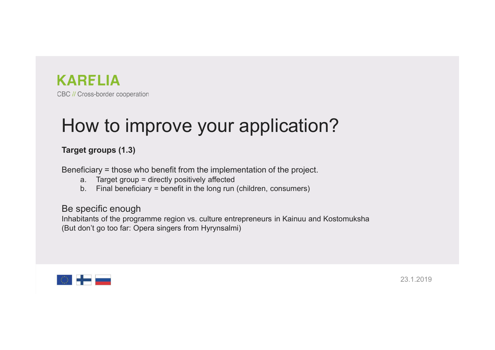

## ERELIA<br>How to improve your application?<br>Target groups (1.3) EC // Cross-border cooperation<br>
BC // Cross-border cooperation<br> **HOW to improve your application**<br>
Target groups (1.3)<br>
Beneficiary = those who benefit from the implementation of the projected<br>
a. Target group = directly p **EXAMPELIA**<br>Beneficiary = those border cooperation<br>**How to improve your application?**<br>Target groups (1.3)<br>Beneficiary = therefit from the implementation of the project.<br>a. Target group = directly positively affected<br>b. Fin **RELIA**<br>
Cross-border cooperation<br> **a. Target groups (1.3)**<br> **a. Target group = directly positively affected**<br> **a.** Target group = directly positively affected<br>
b. Final beneficiary = benefit in the long run (children, con **RELIA**<br>
Cross-border cooperation<br> **or ty form**<br> **b. Final benefit in the implementation of the project.**<br> **a.** Target group = directly positively affected<br> **b.** Final beneficiary = benefit in the long run (children, con **EXAMPLIA**<br>BE // Cross-border cooperation<br>**HOW to improve your applicat**<br>Target groups (1.3)<br>Beneficiary = those who benefit from the implementation of the pro<br>a. Target group = directly positively affected<br>b. Final benefi **INHARE LIA**<br>
Inhabitants of Consecution<br> **Inhamism Inham Proper Server All Consecution**<br> **Inhabitants of the programme region vs. culture entrepreneurs in Kainuu and Kostomuksha**<br>
(But don't go too far: Opera singers fr **EXECTS CONSECTS CONSECTS CONSECTS CONSECTS CONSECTS CONSECTS CONSECTS (SCALL ADDITICATION ?**<br> **Starget groups (1.3)**<br>
Beneficiary = those who benefit from the implementation of the project.<br>
a. Target group = directly pos

- 
- 

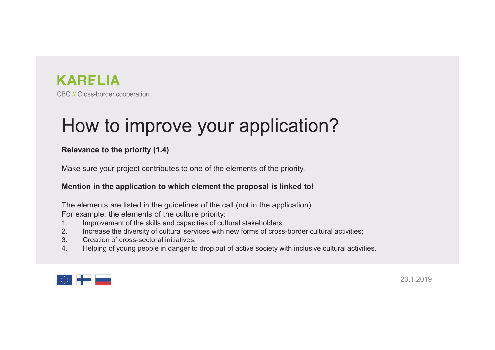

### ERELIA<br>How to improve your application?<br>Relevance to the priority (1.4)<br>Make sum your project contributes to app of the alarmate of the priority EQ // Cross-border cooperation<br>
Relevance to the priority (1.4)<br>
Relevance to the priority (1.4)<br>
Make sure your project contributes to one of the elements of the priority.<br>
Mention in the application to which element the EXARELIA<br>
BC // Cross-border cooperation<br>
How to improve your application?<br>
Relevance to the priority (1.4)<br>
Make sure your project contributes to one of the elements of the priority.<br>
Mention in the application to which e **KARELIA**<br>Mention in the priority (1.4)<br>Relevance to the priority (1.4)<br>Make sure your project contributes to one of the elements of the priority.<br>Mention in the application to which element the proposal is linked to!<br>The **KARELIA**<br>BC // Cross-border cooperation<br>**HOW to improve your Application?**<br>Relevance to the priority (1.4)<br>Make sure your project contributes to one of the elements of the priority.<br>Mention in the application to which ele **KARELIA**<br>BC // Cross-border cooperation<br>**HOW to improve your application?**<br>Relevance to the priority (1.4)<br>Make sure your project contributes to one of the elements of the priority.<br>Mention in the application to which ele **ICONTROVE SURFORT AND AND AND AND AND AND AND ANNO THE SKILL AND MAKE SUPPORT ON THE SKILLS AND MAKE SUPPORT ON THE SKILLS AND MAKE SUPPORT ON THE SKILLS AND MAKE SUPPORT ON THE SKILLS AND MAKE SUPPORT ON THE SKILLS AND M EXECUTE SECT CONSECT CONSECT CONSECT CONSECT CONSECT CONSECT CONSECT AND MAKE SURFORMOTHER REGIVERED CROSCALL THE DEPOTENTIAL MAKE SURFORM ON MAKE SURFORM AND MAKE SURFORM AND MAKE SURFORM AND MAKE SURFORM AND THE SERVICE** BC // Cross-border cooperation<br> **HOW to improve your application?**<br> **Relevance to the priority (1.4)**<br>
Make sure your project contributes to one of the elements of the priority.<br> **Mention in the application to which elemen** How to improve your application?<br>
Relevance to the priority (1.4)<br>
Make sure your project contributes to one of the elements of the priority.<br>
Montion in the application to which element the proposal is linked to!<br>
The ele

- 
- 
- 
- 

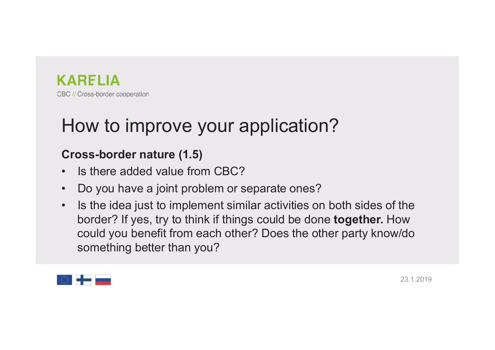

# ERELIA<br>How to improve your application?<br>Cross-border nature (1.5) ERELIA<br>
EC // Cross-border cooperation<br> **Cross-border nature (1.5)**<br>
• Is there added value from CBC?<br>
• Do you have a joint problem or separate ones? **EQUARELIA**<br> **EQUE CONSECUTE COOPETALION**<br> **Cross-border nature (1.5)**<br>
• Is there added value from CBC?<br>
• Do you have a joint problem or separate ones?<br>
• Is the idea just to implement similar activities on both sides of

- 
- 
- EQ *N Cross-border cooperation*<br>
 Bo *N Cross-border cooperation*<br>
 Is there added value from CBC?<br>
 Do you have a joint problem or separate ones?<br>
 Is the idea just to implement similar activities on both sides of the EC *II* Cross-border cooperation<br>
• IGC *II* Cross-border cooperation<br>
• Is there added value from CBC?<br>
• Do you have a joint problem or separate ones?<br>
• Is the idea just to implement similar activities on both sides of **RELIA**<br>
Cross-border cooperation<br> **DW to improve your application?**<br> **Dss-border nature (1.5)**<br>
Is there added value from CBC?<br>
Do you have a joint problem or separate ones?<br>
Is the idea just to implement similar activiti Consekerate cooperation<br>
Consekerate cooperation<br>
Does border nature (1.5)<br>
Is there added value from CBC?<br>
Do you have a joint problem or separate ones?<br>
Is the idea just to implement similar activities on both sides of t something than the set of the method of the set of the set of the set of the set of the set of the set of the idea just to implement similar activities on both sides of the idea just to implement similar activities on both

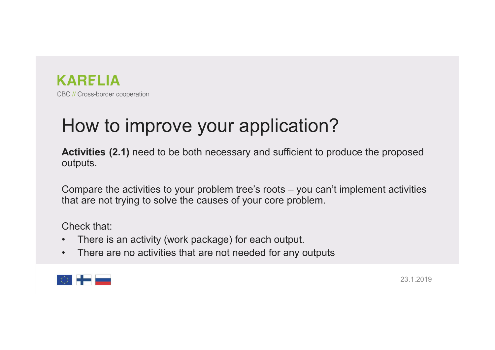

EQUE CONSEQUE COOPERING<br>How to improve your application?<br>Activities (2.1) need to be both necessary and sufficient to produce the proposed<br>outputs. Equivalent comperation<br>Activities (2.1) need to be both necessary and sufficient to produce the proposed<br>outputs.<br>Compare the activities to your problem tree's roots – you can't implement activities outputs. EQ *II* Cross-border cooperation<br>
HOW to improve your application?<br>
Activities (2.1) need to be both necessary and sufficient to produce the proposed<br>
compare the activities to your problem tree's roots – you can't impleme EXARELIA<br>
HOW to improve your application?<br>
Activities (2.1) need to be both necessary and sufficient to produce the proposed<br>
outputs.<br>
Compare the activities to your problem tree's roots – you can't implement activities<br> EDENTIMET CONSEPT COOPERATION CONTINUITY CONSEPT COOPERATION CONTINUITY AND MANUTED Activities (2.1) need to be both necessary and sufferently compare the activities to your problem tree's roots that are not trying to solv BC // Cross-border cooperation<br> **HOW to improve your application?**<br> **Activities (2.1)** need to be both necessary and sufficient to produce the proposed<br>
outputs.<br>
Compare the activities to your problem tree's roots – you c **HOW to improve your application?**<br> **Activities (2.1)** need to be both necessary and sufficient to produce the proposed<br>
outputs.<br>
Compare the activities to your problem tree's roots – you can't implement activities<br>
that

- 
- 

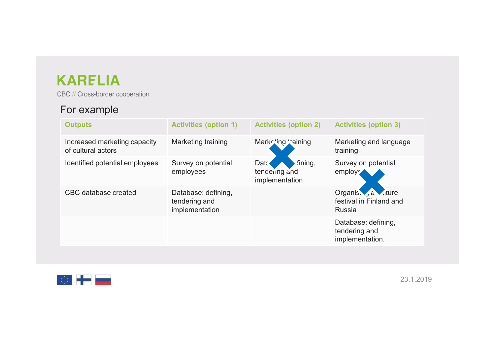### For example

| <b>KARELIA</b>                                     |                                                        |                                                    |                                                         |
|----------------------------------------------------|--------------------------------------------------------|----------------------------------------------------|---------------------------------------------------------|
| CBC // Cross-border cooperation                    |                                                        |                                                    |                                                         |
| For example                                        |                                                        |                                                    |                                                         |
| <b>Outputs</b>                                     | <b>Activities (option 1)</b>                           | <b>Activities (option 2)</b>                       | <b>Activities (option 3)</b>                            |
| Increased marketing capacity<br>of cultural actors | Marketing training                                     | Marke ing raining                                  | Marketing and language<br>training                      |
| Identified potential employees                     | Survey on potential<br>employees                       | Dat.<br>fining,<br>tendering and<br>implementation | Survey on potential<br>employ                           |
| <b>CBC</b> database created                        | Database: defining,<br>tendering and<br>implementation |                                                    | Organis. a dure<br>festival in Finland and<br>Russia    |
|                                                    |                                                        |                                                    | Database: defining,<br>tendering and<br>implementation. |
|                                                    |                                                        |                                                    |                                                         |
|                                                    |                                                        |                                                    |                                                         |

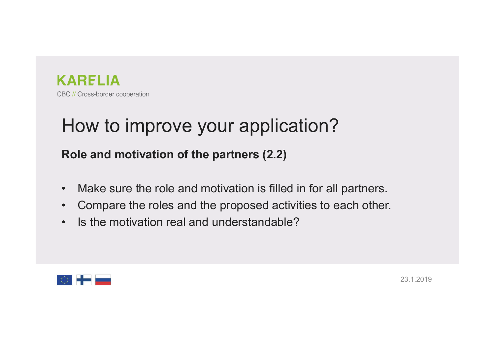

## ERELIA<br>How to improve your application?<br>Role and motivation of the partners (2.2) Example and motivation<br>Role and motivation of the partners (2.2)<br>Role and motivation of the partners (2.2)<br>Make sure the role and motivation is filled in for all partners. EC // Cross-border cooperation<br>
• How to improve your application?<br>
• Make sure the role and motivation is filled in for all partners.<br>
• Compare the roles and the proposed activities to each other.<br>
• Is the motivation r FORTHE RECALCONGER COOPERING RECALCONGER COOPERING<br>
FROM THE ROLE and motivation of the partners (2.2)<br>
• Make sure the role and motivation is filled in for all partners.<br>
• Compare the roles and the proposed activities to EC // Cross-border cooperation<br> **HOW to improve your application?**<br> **Role and motivation of the partners (2.2)**<br>
• Make sure the role and motivation is filled in for all partners<br>
• Compare the roles and the proposed activ

- 
- 
- 

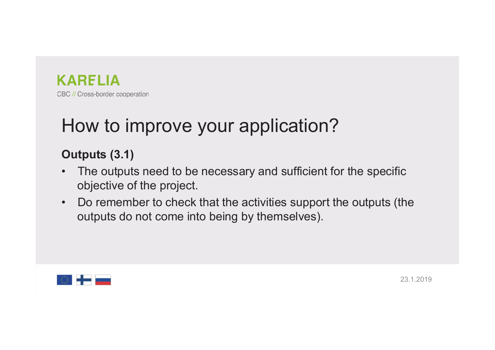

# ERELIA<br>How to improve your application?<br>Outputs (3.1)

- **Example 2016**<br>
BC // Cross-border cooperation<br> **Outputs (3.1)**<br>
 The outputs need to be necessary and suffice objective of the project. **EXAMPLIA**<br>• The outputs cooperation<br>**Outputs (3.1)**<br>• The outputs need to be necessary and sufficient for the specific<br>• Do remember to check that the activities support the outputs (the RELIA<br>
Cross-border cooperation<br>
OW **to improve your application?**<br>
t**puts (3.1)**<br>
The outputs need to be necessary and sufficient for the<br>
objective of the project.<br>
Do remember to check that the activities support the<br>
o
- **EDEC ACCONSERVICUTE:**<br>
BEC ACCONSE COOPERING COOPERING TO DUPLING TO DUPLING (3.1)<br>
 The outputs need to be necessary and sufficient for the specific<br>
 Do remember to check that the activities support the outputs (the<br> **RELIA**<br>Cross-border cooperation<br>**tputs (3.1)**<br>The outputs need to be necessary and sufficient for the specific<br>objective of the project.<br>Do remember to check that the activities support the outputs (the<br>outputs do not com

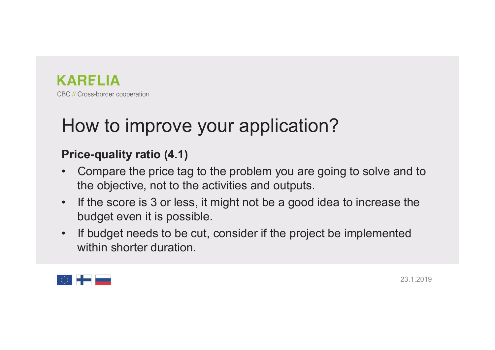

# ERELIA<br>How to improve your application?<br>Price-quality ratio (4.1)

- EQUE CODERA<br>PEC // Cross-border cooperation<br>**Price-quality ratio (4.1)**<br>• Compare the price tag to the problem you are going to<br>the objective, not to the activities and outputs. CARELIA<br>
• Consesporter cooperation<br>
• Compare the price tag to the problem you are going to solve and to<br>
• Compare the price tag to the problem you are going to solve and to<br>
• If the score is 3 or less, it might not be RELIA<br>
Cross-border cooperation<br> **Cons-border cooperation**<br> **ce-quality ratio (4.1)**<br>
Compare the price tag to the problem you are going to solve and to<br>
the objective, not to the activities and outputs.<br>
If the score is 3 FORT CONSERVIONS FOR SEVIDENTIAN BE A CARAGELIA<br>
FOR CALCONSE COOPERING TO SUPPOSE THE SCORE IS THE SCORE IS A COMPARE the price tag to the problem you are going to solve and to<br>  $\cdot$  If the score is 3 or less, it might no • If budget needs to be cut, consider if the project be implemented<br>
• Compare the price tag to the problem you are going to solve and to<br>
• If the score is 3 or less, it might not be a good idea to increase the<br>
• If budg
- RELIA<br>
Cross-border cooperation<br> **OW to improve your application?**<br> **ce-quality ratio (4.1)**<br>
Compare the price tag to the problem you are goir<br>
the objective, not to the activities and outputs.<br>
If the score is 3 or less, ow to improve your application?<br>
ce-quality ratio (4.1)<br>
Compare the price tag to the problem you are going<br>
the objective, not to the activities and outputs.<br>
If the score is 3 or less, it might not be a good idea<br>
budget
- 

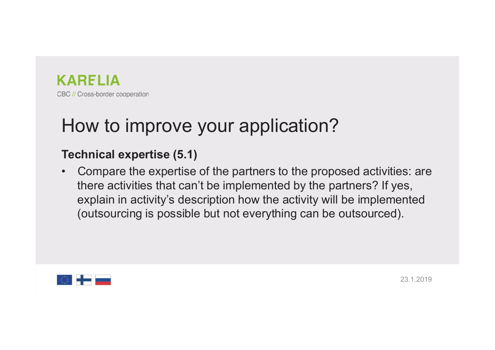

# ERELIA<br>How to improve your application?<br>Technical expertise (5.1)

ERELIA<br>
How to improve your application?<br>
Technical expertise (5.1)<br>
Compare the expertise of the partners to the proposed at<br>
there activities that can't be implemented by the partner **EXPINA**<br>
• Consecuted cooperation<br> **HOW to improve your application?**<br> **Technical expertise (5.1)**<br>
• Compare the expertise of the partners to the proposed activities: are<br>
there activities that can't be implemented by th **RELIA**<br>Onsechonder cooperation<br> **Consechonder cooperation**<br> **Compare the expertise (5.1)**<br>
Compare the expertise of the partners to the proposed activities: are<br>
there activities that can't be implemented by the partners? RELIA<br>
Cross-border cooperation<br>
DW to improve your application?<br>
chnical expertise (5.1)<br>
Compare the expertise of the partners to the proposed activities: are<br>
there activities that can't be implemented by the partners? **RELIA**<br>
Cross-border cooperation<br> **OW to improve your application?**<br> **Chinical expertise (5.1)**<br>
Compare the expertise of the partners to the proposed activities: are<br>
there activities that can't be implemented by the par

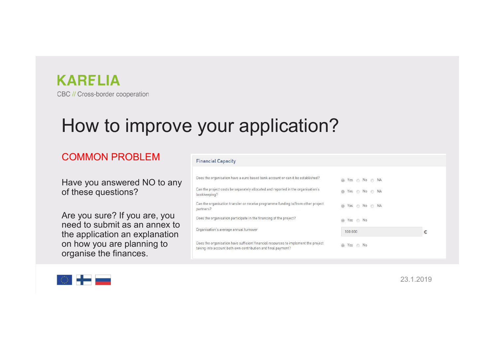

# **EXARELIA**<br>How to improve your application?<br>COMMON PROBLEM

### **COMMON PROBLEM** Financial Capacity

## EC // Cross-border cooperation<br>
HOW to important Copering and Coperative and beginner in the claim of the comparable of the sequence of the sequence of the sequence of the sequence of the sequence of the sequence of  $\alpha$  a CARELIA<br>
BC // Cross-border cooperation<br>  $\begin{array}{c} \text{HOW to improve BVD} \ \text{I} \ \text{I} \ \text{I} \ \text{I} \ \text{I} \ \text{I} \ \text{I} \ \text{I} \ \text{I} \ \text{I} \ \text{I} \ \text{I} \ \text{I} \ \text{I} \ \text{I} \ \text{I} \ \text{I} \ \text{I} \ \text{I} \ \text{I} \ \text{I} \ \text{I} \ \text{I} \ \text{I} \ \text{I} \ \text{I} \ \text{I}$  $\begin{tabular}{l|c|c|} \hline \multicolumn{1}{l}{\textbf{A}} \\ \hline \multicolumn{1}{l}{\textbf{B}} & \multicolumn{1}{l}{\textbf{B}} & \multicolumn{1}{l}{\textbf{B}} & \multicolumn{1}{l}{\textbf{B}} & \multicolumn{1}{l}{\textbf{B}} \\ \hline \multicolumn{1}{l}{\textbf{C} & \textbf{M} & \textbf{M} & \textbf{M} & \textbf{M} & \textbf{M} & \textbf{M} & \textbf{M} \\ \hline \multicolumn{1}{l}{\textbf{C} & \textbf{M} & \textbf{M} & \textbf{$  $\begin{tabular}{|c|c|} \hline & \multicolumn{1}{|c|}{\textbf{A}} \\ \hline \textbf{B} & \multicolumn{1}{|c|}{\textbf{B} & \multicolumn{1}{|c|}{\textbf{B} & \multicolumn{1}{|c|}{\textbf{B} & \multicolumn{1}{|c|}{\textbf{B} & \multicolumn{1}{|c|}{\textbf{B} & \multicolumn{1}{|c|}{\textbf{B} & \multicolumn{1}{|c|}{\textbf{B} & \multicolumn{1}{|c|}{\textbf{B} & \multicolumn{1}{|c|}{\textbf{B} & \multicolumn{1}{|c|}{\textbf$ BC // Cross-border cooperation<br>
COMMON PROBLEM<br>
Tinancial Capacity<br>
Have you answered NO to any<br>
of these questions?<br>
Are you sure? If you are, you<br>
the application and explanation and the sequential temperature and the se BC // Cross-border cooperation<br>  $\begin{array}{r|l|l} \hline \multicolumn{3}{l}{\textbf{B}}& \multicolumn{3}{l}{\textbf{B}}& \multicolumn{3}{l}{\textbf{B}}& \multicolumn{3}{l}{\textbf{B}}& \multicolumn{3}{l}{\textbf{B}}& \multicolumn{3}{l}{\textbf{B}}& \multicolumn{3}{l}{\textbf{B}}& \multicolumn{3}{l}{\textbf{B}}& \multicolumn{3}{l}{\textbf{B}}& \multicolumn{3}{l}{\textbf{B}}& \multicolumn{3}{l}{\textbf{B$ **How to improve the your served NO** to any **the sequential Capacity**<br>
Financial Capacity<br>
Have you answered NO to any of these questions?<br>
or the sequental or the sequenta in the sequenta of the sequenta and regard to the

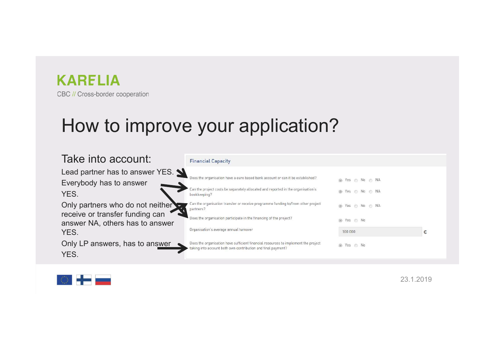

| <b>KARELIA</b><br>CBC // Cross-border cooperation                                                      | How to improve your application?                                                                                                                                                   |                                    |   |
|--------------------------------------------------------------------------------------------------------|------------------------------------------------------------------------------------------------------------------------------------------------------------------------------------|------------------------------------|---|
| Take into account:                                                                                     | <b>Financial Capacity</b>                                                                                                                                                          |                                    |   |
| Lead partner has to answer YES.<br>Everybody has to answer<br>YES.                                     | Does the organisation have a euro based bank account or can it be established?<br>Can the project costs be separately allocated and reported in the organisation's<br>bookkeeping? | ⊚ Yes ⊜ No ⊜ NA<br>◎ Yes ◎ No ◎ NA |   |
| Only partners who do not neither<br>receive or transfer funding can<br>answer NA, others has to answer | Can the organisation transfer or receive programme funding to/from other project<br>partners?<br>Does the organisation participate in the financing of the project?                | ◎ Yes ◎ No ◎ NA<br>◎ Yes ◎ No      |   |
| YES.<br>Only LP answers, has to answer                                                                 | Organisation's average annual turnover<br>Does the organisation have sufficient financial resources to implement the project                                                       | 100 000<br>◎ Yes ◎ No              | € |
| YES.                                                                                                   | taking into account both own contribution and final payment?                                                                                                                       |                                    |   |

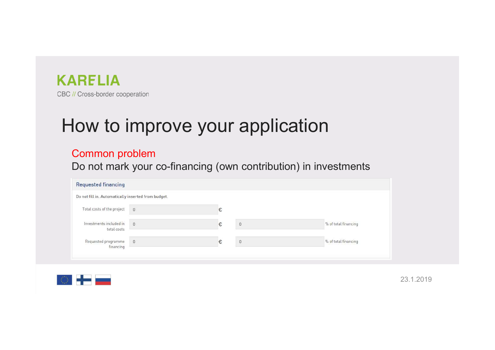

# ERELIA<br>How to improve your application<br>Common problem<br>Do not mark your co-financing (own contribution) in investments

### Common problem

| ARELIA                                                                                                     |                                 |   |          |                                                                 |  |
|------------------------------------------------------------------------------------------------------------|---------------------------------|---|----------|-----------------------------------------------------------------|--|
| <b>3C // Cross-border cooperation</b>                                                                      |                                 |   |          |                                                                 |  |
|                                                                                                            |                                 |   |          |                                                                 |  |
|                                                                                                            |                                 |   |          |                                                                 |  |
|                                                                                                            |                                 |   |          |                                                                 |  |
|                                                                                                            |                                 |   |          |                                                                 |  |
|                                                                                                            | How to improve your application |   |          |                                                                 |  |
|                                                                                                            |                                 |   |          |                                                                 |  |
|                                                                                                            |                                 |   |          |                                                                 |  |
|                                                                                                            |                                 |   |          | Do not mark your co-financing (own contribution) in investments |  |
|                                                                                                            |                                 |   |          |                                                                 |  |
| <b>Common problem</b><br><b>Requested financing</b><br>Do not fill in. Automatically inserted from budget. |                                 |   |          |                                                                 |  |
| Total costs of the project                                                                                 | $\overline{0}$                  | € |          |                                                                 |  |
| Investments included in                                                                                    |                                 |   |          |                                                                 |  |
| total costs                                                                                                | $\theta$                        |   | $\theta$ | % of total financing                                            |  |

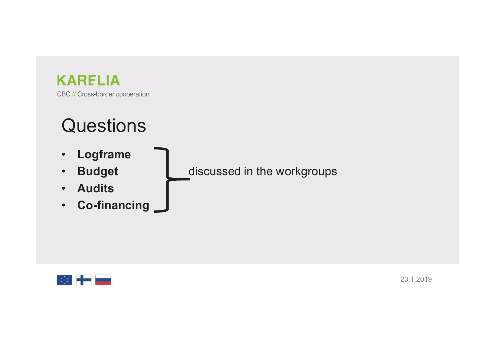# ERELIA<br>
BC // Cross-border cooperation<br>• Logframe<br>• Budget discussed in the workgroups<br>• Audits<br>• Co-financing

### **Questions**

- Logframe
- 
- Audits
- Co-financing